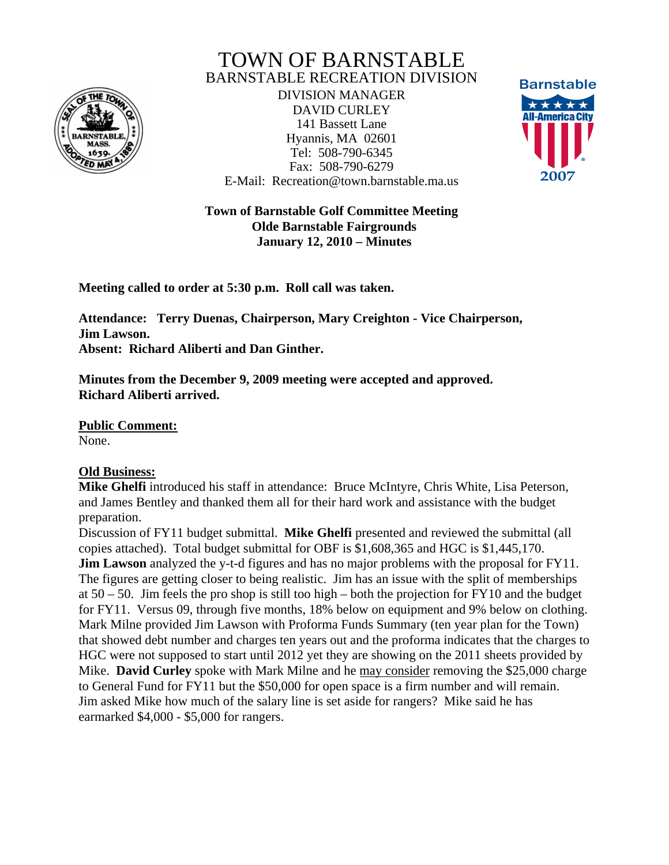

# TOWN OF BARNSTABLE BARNSTABLE RECREATION DIVISION

DIVISION MANAGER DAVID CURLEY 141 Bassett Lane Hyannis, MA 02601 Tel: 508-790-6345 Fax: 508-790-6279 E-Mail: Recreation@town.barnstable.ma.us



## **Town of Barnstable Golf Committee Meeting Olde Barnstable Fairgrounds January 12, 2010 – Minutes**

**Meeting called to order at 5:30 p.m. Roll call was taken.** 

**Attendance: Terry Duenas, Chairperson, Mary Creighton - Vice Chairperson, Jim Lawson. Absent: Richard Aliberti and Dan Ginther.** 

**Minutes from the December 9, 2009 meeting were accepted and approved. Richard Aliberti arrived.** 

**Public Comment:** None.

## **Old Business:**

**Mike Ghelfi** introduced his staff in attendance: Bruce McIntyre, Chris White, Lisa Peterson, and James Bentley and thanked them all for their hard work and assistance with the budget preparation.

Discussion of FY11 budget submittal. **Mike Ghelfi** presented and reviewed the submittal (all copies attached). Total budget submittal for OBF is \$1,608,365 and HGC is \$1,445,170.

**Jim Lawson** analyzed the y-t-d figures and has no major problems with the proposal for FY11. The figures are getting closer to being realistic. Jim has an issue with the split of memberships at 50 – 50. Jim feels the pro shop is still too high – both the projection for FY10 and the budget for FY11. Versus 09, through five months, 18% below on equipment and 9% below on clothing. Mark Milne provided Jim Lawson with Proforma Funds Summary (ten year plan for the Town) that showed debt number and charges ten years out and the proforma indicates that the charges to HGC were not supposed to start until 2012 yet they are showing on the 2011 sheets provided by Mike. **David Curley** spoke with Mark Milne and he may consider removing the \$25,000 charge to General Fund for FY11 but the \$50,000 for open space is a firm number and will remain. Jim asked Mike how much of the salary line is set aside for rangers? Mike said he has earmarked \$4,000 - \$5,000 for rangers.